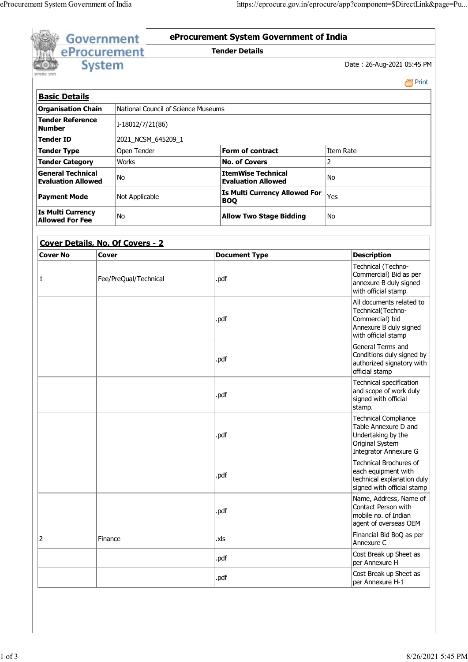|                                                       |                       | eProcurement                        |  | <b>Tender Details</b>                                  |                                                                                                                       |         |  |  |
|-------------------------------------------------------|-----------------------|-------------------------------------|--|--------------------------------------------------------|-----------------------------------------------------------------------------------------------------------------------|---------|--|--|
|                                                       | <b>System</b>         |                                     |  |                                                        | Date: 26-Aug-2021 05:45 PM                                                                                            |         |  |  |
|                                                       |                       |                                     |  |                                                        |                                                                                                                       | e Print |  |  |
| <b>Basic Details</b>                                  |                       |                                     |  |                                                        |                                                                                                                       |         |  |  |
| <b>Organisation Chain</b>                             |                       | National Council of Science Museums |  |                                                        |                                                                                                                       |         |  |  |
| <b>Tender Reference</b><br><b>Number</b>              |                       | I-18012/7/21(86)                    |  |                                                        |                                                                                                                       |         |  |  |
| <b>Tender ID</b>                                      |                       | 2021_NCSM_645209_1                  |  |                                                        |                                                                                                                       |         |  |  |
| <b>Tender Type</b>                                    |                       | Open Tender                         |  | <b>Form of contract</b>                                | Item Rate                                                                                                             |         |  |  |
| <b>Tender Category</b>                                |                       | <b>Works</b>                        |  | <b>No. of Covers</b>                                   | 2                                                                                                                     |         |  |  |
| <b>General Technical</b><br><b>Evaluation Allowed</b> |                       | No                                  |  | <b>ItemWise Technical</b><br><b>Evaluation Allowed</b> | No                                                                                                                    |         |  |  |
| <b>Payment Mode</b>                                   |                       | Not Applicable                      |  | <b>Is Multi Currency Allowed For</b><br><b>BOQ</b>     | Yes                                                                                                                   |         |  |  |
| <b>Is Multi Currency</b><br><b>Allowed For Fee</b>    |                       | No                                  |  | <b>Allow Two Stage Bidding</b>                         | No.                                                                                                                   |         |  |  |
|                                                       |                       | Cover Details, No. Of Covers - 2    |  |                                                        |                                                                                                                       |         |  |  |
| <b>Cover No</b>                                       | Cover                 |                                     |  | <b>Document Type</b>                                   | <b>Description</b>                                                                                                    |         |  |  |
| 1                                                     | Fee/PreQual/Technical |                                     |  | .pdf                                                   | Technical (Techno-<br>Commercial) Bid as per<br>annexure B duly signed<br>with official stamp                         |         |  |  |
|                                                       |                       |                                     |  | .pdf                                                   | All documents related to<br>Technical(Techno-<br>Commercial) bid<br>Annexure B duly signed<br>with official stamp     |         |  |  |
|                                                       |                       |                                     |  | .pdf                                                   | General Terms and<br>Conditions duly signed by<br>authorized signatory with<br>official stamp                         |         |  |  |
|                                                       |                       |                                     |  | .pdf                                                   | Technical specification<br>and scope of work duly<br>signed with official<br>stamp.                                   |         |  |  |
|                                                       |                       |                                     |  | .pdf                                                   | <b>Technical Compliance</b><br>Table Annexure D and<br>Undertaking by the<br>Original System<br>Integrator Annexure G |         |  |  |
|                                                       |                       |                                     |  | .pdf                                                   | Technical Brochures of<br>each equipment with<br>technical explanation duly<br>signed with official stamp             |         |  |  |
|                                                       |                       |                                     |  | .pdf                                                   | Name, Address, Name of<br>Contact Person with<br>mobile no. of Indian<br>agent of overseas OEM                        |         |  |  |
| 2                                                     | Finance               |                                     |  | .xls                                                   | Financial Bid BoQ as per<br>Annexure C                                                                                |         |  |  |
|                                                       |                       |                                     |  | .pdf                                                   | Cost Break up Sheet as<br>per Annexure H                                                                              |         |  |  |
|                                                       |                       |                                     |  | .pdf                                                   | Cost Break up Sheet as<br>per Annexure H-1                                                                            |         |  |  |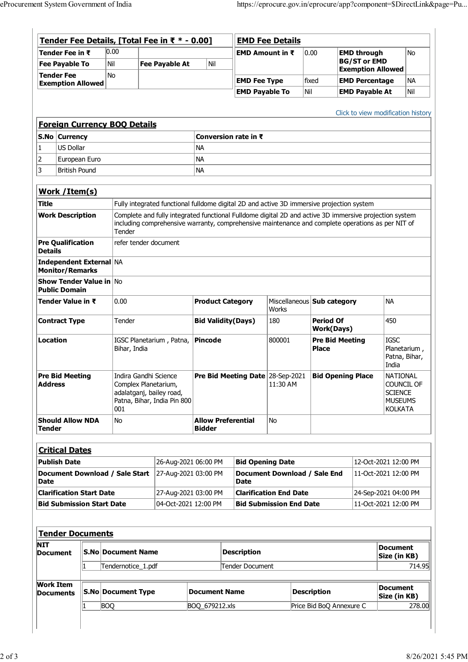|                                                                      |                                                          |      | Tender Fee Details, [Total Fee in ₹ * - 0.00] |                                                                                                                                                                                                             |                                                                                           |                           |                                |                                             | <b>EMD Fee Details</b>           |          |                          |                                       |                      |                                           |                                  |                  |
|----------------------------------------------------------------------|----------------------------------------------------------|------|-----------------------------------------------|-------------------------------------------------------------------------------------------------------------------------------------------------------------------------------------------------------------|-------------------------------------------------------------------------------------------|---------------------------|--------------------------------|---------------------------------------------|----------------------------------|----------|--------------------------|---------------------------------------|----------------------|-------------------------------------------|----------------------------------|------------------|
|                                                                      | Tender Fee in ₹<br><b>Fee Payable To</b>                 |      | 0.00<br>Nil                                   |                                                                                                                                                                                                             | <b>Fee Payable At</b>                                                                     |                           | Nil                            |                                             | EMD Amount in $\bar{\tau}$       |          | 0.00                     |                                       |                      | <b>EMD through</b><br><b>BG/ST or EMD</b> |                                  | <b>No</b>        |
| <b>Tender Fee</b>                                                    |                                                          |      | <b>No</b>                                     |                                                                                                                                                                                                             |                                                                                           |                           |                                |                                             |                                  |          |                          |                                       |                      | <b>Exemption Allowed</b>                  |                                  |                  |
|                                                                      | <b>Exemption Allowed</b>                                 |      |                                               |                                                                                                                                                                                                             |                                                                                           |                           |                                |                                             | <b>EMD Fee Type</b>              |          | Nil                      | fixed                                 |                      | <b>EMD Percentage</b>                     |                                  | <b>NA</b><br>Nil |
|                                                                      |                                                          |      |                                               |                                                                                                                                                                                                             |                                                                                           |                           |                                |                                             | <b>EMD Payable To</b>            |          |                          |                                       |                      | <b>EMD Payable At</b>                     |                                  |                  |
|                                                                      |                                                          |      |                                               |                                                                                                                                                                                                             |                                                                                           |                           |                                |                                             |                                  |          |                          |                                       |                      | Click to view modification history        |                                  |                  |
|                                                                      |                                                          |      | <b>Foreign Currency BOQ Details</b>           |                                                                                                                                                                                                             |                                                                                           |                           |                                |                                             |                                  |          |                          |                                       |                      |                                           |                                  |                  |
|                                                                      | S.No Currency                                            |      |                                               |                                                                                                                                                                                                             |                                                                                           |                           |                                |                                             | Conversion rate in ₹             |          |                          |                                       |                      |                                           |                                  |                  |
| 1                                                                    | <b>US Dollar</b>                                         |      |                                               |                                                                                                                                                                                                             |                                                                                           |                           | <b>NA</b>                      |                                             |                                  |          |                          |                                       |                      |                                           |                                  |                  |
| 2                                                                    | European Euro                                            |      |                                               |                                                                                                                                                                                                             |                                                                                           | <b>NA</b>                 |                                |                                             |                                  |          |                          |                                       |                      |                                           |                                  |                  |
| 3                                                                    | <b>British Pound</b>                                     |      |                                               |                                                                                                                                                                                                             |                                                                                           |                           | <b>NA</b>                      |                                             |                                  |          |                          |                                       |                      |                                           |                                  |                  |
|                                                                      |                                                          |      |                                               |                                                                                                                                                                                                             |                                                                                           |                           |                                |                                             |                                  |          |                          |                                       |                      |                                           |                                  |                  |
|                                                                      | Work / Item(s)                                           |      |                                               |                                                                                                                                                                                                             |                                                                                           |                           |                                |                                             |                                  |          |                          |                                       |                      |                                           |                                  |                  |
| <b>Title</b>                                                         |                                                          |      |                                               |                                                                                                                                                                                                             | Fully integrated functional fulldome digital 2D and active 3D immersive projection system |                           |                                |                                             |                                  |          |                          |                                       |                      |                                           |                                  |                  |
|                                                                      | <b>Work Description</b>                                  |      |                                               | Complete and fully integrated functional Fulldome digital 2D and active 3D immersive projection system<br>including comprehensive warranty, comprehensive maintenance and complete operations as per NIT of |                                                                                           |                           |                                |                                             |                                  |          |                          |                                       |                      |                                           |                                  |                  |
|                                                                      |                                                          |      | Tender                                        |                                                                                                                                                                                                             |                                                                                           |                           |                                |                                             |                                  |          |                          |                                       |                      |                                           |                                  |                  |
|                                                                      | <b>Pre Qualification</b>                                 |      |                                               |                                                                                                                                                                                                             | refer tender document                                                                     |                           |                                |                                             |                                  |          |                          |                                       |                      |                                           |                                  |                  |
| <b>Details</b>                                                       |                                                          |      |                                               |                                                                                                                                                                                                             |                                                                                           |                           |                                |                                             |                                  |          |                          |                                       |                      |                                           |                                  |                  |
|                                                                      | <b>Independent External NA</b><br><b>Monitor/Remarks</b> |      |                                               |                                                                                                                                                                                                             |                                                                                           |                           |                                |                                             |                                  |          |                          |                                       |                      |                                           |                                  |                  |
|                                                                      | <b>Show Tender Value in No</b><br><b>Public Domain</b>   |      |                                               |                                                                                                                                                                                                             |                                                                                           |                           |                                |                                             |                                  |          |                          |                                       |                      |                                           |                                  |                  |
| Tender Value in ₹                                                    |                                                          | 0.00 |                                               |                                                                                                                                                                                                             |                                                                                           | <b>Product Category</b>   |                                |                                             | Miscellaneous Sub category       |          |                          | <b>NA</b>                             |                      |                                           |                                  |                  |
|                                                                      |                                                          |      |                                               |                                                                                                                                                                                                             |                                                                                           |                           |                                |                                             | <b>Works</b>                     |          |                          |                                       |                      |                                           |                                  |                  |
|                                                                      | <b>Contract Type</b>                                     |      |                                               | Tender                                                                                                                                                                                                      |                                                                                           |                           | <b>Bid Validity(Days)</b>      |                                             |                                  | 180      |                          | <b>Period Of</b><br><b>Work(Days)</b> |                      |                                           | 450                              |                  |
| <b>Location</b>                                                      |                                                          |      |                                               | IGSC Planetarium, Patna,                                                                                                                                                                                    |                                                                                           |                           | <b>Pincode</b>                 |                                             |                                  | 800001   |                          | <b>Pre Bid Meeting</b>                |                      |                                           | <b>IGSC</b>                      |                  |
|                                                                      |                                                          |      |                                               | Bihar, India                                                                                                                                                                                                |                                                                                           |                           |                                |                                             |                                  |          |                          | <b>Place</b>                          |                      |                                           | Planetarium,                     |                  |
|                                                                      |                                                          |      |                                               |                                                                                                                                                                                                             |                                                                                           |                           |                                |                                             |                                  |          |                          |                                       |                      |                                           | Patna, Bihar,<br>India           |                  |
|                                                                      | <b>Pre Bid Meeting</b>                                   |      |                                               |                                                                                                                                                                                                             | Indira Gandhi Science                                                                     |                           |                                |                                             | Pre Bid Meeting Date 28-Sep-2021 |          |                          | <b>Bid Opening Place</b>              |                      |                                           | <b>NATIONAL</b>                  |                  |
| <b>Address</b>                                                       |                                                          |      |                                               | Complex Planetarium,<br>adalatganj, bailey road,<br>Patna, Bihar, India Pin 800                                                                                                                             |                                                                                           |                           |                                |                                             |                                  | 11:30 AM |                          |                                       |                      |                                           | COUNCIL OF                       |                  |
|                                                                      |                                                          |      |                                               |                                                                                                                                                                                                             |                                                                                           |                           |                                |                                             |                                  |          |                          |                                       |                      |                                           | <b>SCIENCE</b><br><b>MUSEUMS</b> |                  |
|                                                                      |                                                          |      | 001                                           |                                                                                                                                                                                                             |                                                                                           |                           |                                |                                             |                                  |          |                          |                                       |                      |                                           | <b>KOLKATA</b>                   |                  |
| <b>Should Allow NDA</b><br>Tender                                    |                                                          | No   |                                               |                                                                                                                                                                                                             |                                                                                           | <b>Allow Preferential</b> |                                |                                             | <b>No</b>                        |          |                          |                                       |                      |                                           |                                  |                  |
|                                                                      |                                                          |      |                                               |                                                                                                                                                                                                             |                                                                                           |                           | <b>Bidder</b>                  |                                             |                                  |          |                          |                                       |                      |                                           |                                  |                  |
|                                                                      |                                                          |      |                                               |                                                                                                                                                                                                             |                                                                                           |                           |                                |                                             |                                  |          |                          |                                       |                      |                                           |                                  |                  |
|                                                                      | <b>Critical Dates</b>                                    |      |                                               |                                                                                                                                                                                                             |                                                                                           |                           |                                |                                             |                                  |          |                          |                                       |                      |                                           |                                  |                  |
| <b>Publish Date</b><br>Document Download / Sale Start<br><b>Date</b> |                                                          |      |                                               | 26-Aug-2021 06:00 PM                                                                                                                                                                                        |                                                                                           | 27-Aug-2021 03:00 PM      |                                | <b>Bid Opening Date</b>                     |                                  |          |                          |                                       | 12-Oct-2021 12:00 PM |                                           |                                  |                  |
|                                                                      |                                                          |      |                                               |                                                                                                                                                                                                             |                                                                                           |                           |                                | Document Download / Sale End<br><b>Date</b> |                                  |          |                          |                                       | 11-Oct-2021 12:00 PM |                                           |                                  |                  |
| <b>Clarification Start Date</b>                                      |                                                          |      |                                               | 27-Aug-2021 03:00 PM                                                                                                                                                                                        |                                                                                           |                           |                                | <b>Clarification End Date</b>               |                                  |          |                          |                                       | 24-Sep-2021 04:00 PM |                                           |                                  |                  |
| <b>Bid Submission Start Date</b>                                     |                                                          |      |                                               | 04-Oct-2021 12:00 PM                                                                                                                                                                                        |                                                                                           |                           | <b>Bid Submission End Date</b> |                                             |                                  |          |                          | 11-Oct-2021 12:00 PM                  |                      |                                           |                                  |                  |
|                                                                      |                                                          |      |                                               |                                                                                                                                                                                                             |                                                                                           |                           |                                |                                             |                                  |          |                          |                                       |                      |                                           |                                  |                  |
|                                                                      |                                                          |      |                                               |                                                                                                                                                                                                             |                                                                                           |                           |                                |                                             |                                  |          |                          |                                       |                      |                                           |                                  |                  |
|                                                                      | <b>Tender Documents</b>                                  |      |                                               |                                                                                                                                                                                                             |                                                                                           |                           |                                |                                             |                                  |          |                          |                                       |                      |                                           |                                  |                  |
| NIT<br><b>Document</b>                                               |                                                          |      |                                               | <b>S.No Document Name</b>                                                                                                                                                                                   |                                                                                           |                           |                                | <b>Description</b>                          |                                  |          |                          |                                       |                      | <b>Document</b>                           |                                  |                  |
|                                                                      |                                                          | 1    |                                               | Tendernotice_1.pdf                                                                                                                                                                                          |                                                                                           |                           |                                | Tender Document                             |                                  |          |                          |                                       |                      |                                           | Size (in KB)<br>714.95           |                  |
|                                                                      |                                                          |      |                                               |                                                                                                                                                                                                             |                                                                                           |                           |                                |                                             |                                  |          |                          |                                       |                      |                                           |                                  |                  |
| Work Item                                                            |                                                          |      |                                               |                                                                                                                                                                                                             |                                                                                           |                           |                                |                                             |                                  |          |                          |                                       |                      |                                           | <b>Document</b>                  |                  |
| <b>Documents</b>                                                     |                                                          |      | <b>S.No Document Type</b>                     |                                                                                                                                                                                                             |                                                                                           |                           | <b>Document Name</b>           |                                             |                                  |          |                          | <b>Description</b>                    |                      |                                           | Size (in KB)                     |                  |
|                                                                      |                                                          |      |                                               | <b>BOQ</b>                                                                                                                                                                                                  |                                                                                           |                           |                                | BOQ_679212.xls                              |                                  |          | Price Bid BoQ Annexure C |                                       |                      | 278.00                                    |                                  |                  |